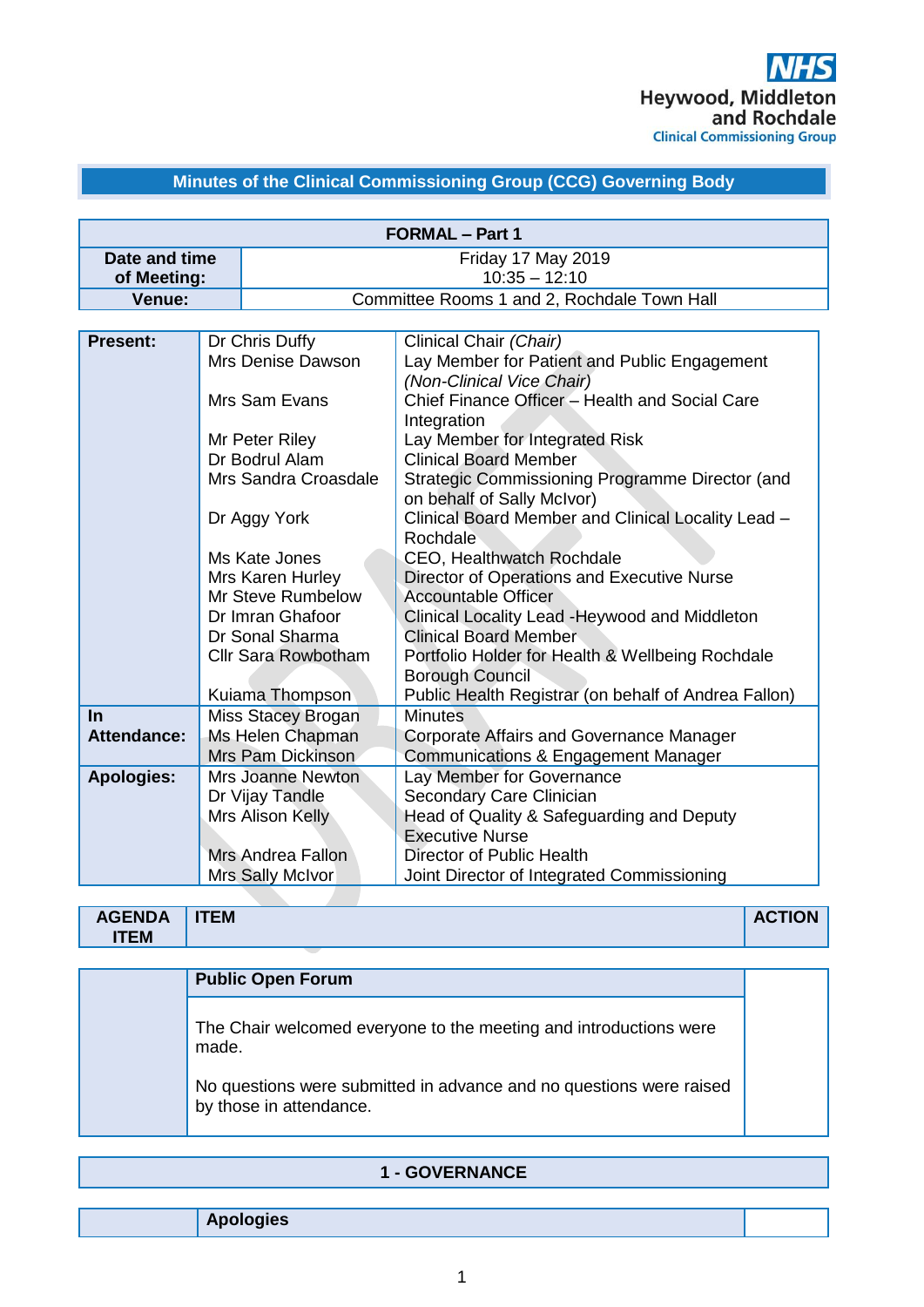## **Minutes of the Clinical Commissioning Group (CCG) Governing Body**

|                    |                          | <b>FORMAL - Part 1</b>                                                      |
|--------------------|--------------------------|-----------------------------------------------------------------------------|
| Date and time      |                          | Friday 17 May 2019                                                          |
| of Meeting:        |                          | $10:35 - 12:10$                                                             |
| Venue:             |                          | Committee Rooms 1 and 2, Rochdale Town Hall                                 |
|                    |                          |                                                                             |
| <b>Present:</b>    | Dr Chris Duffy           | Clinical Chair (Chair)                                                      |
|                    | Mrs Denise Dawson        | Lay Member for Patient and Public Engagement                                |
|                    | Mrs Sam Evans            | (Non-Clinical Vice Chair)<br>Chief Finance Officer - Health and Social Care |
|                    |                          | Integration                                                                 |
|                    | Mr Peter Riley           | Lay Member for Integrated Risk                                              |
|                    | Dr Bodrul Alam           | <b>Clinical Board Member</b>                                                |
|                    | Mrs Sandra Croasdale     | Strategic Commissioning Programme Director (and                             |
|                    |                          | on behalf of Sally McIvor)                                                  |
|                    | Dr Aggy York             | Clinical Board Member and Clinical Locality Lead -                          |
|                    |                          | Rochdale                                                                    |
|                    | Ms Kate Jones            | CEO, Healthwatch Rochdale                                                   |
|                    | Mrs Karen Hurley         | Director of Operations and Executive Nurse                                  |
|                    | Mr Steve Rumbelow        | <b>Accountable Officer</b>                                                  |
|                    | Dr Imran Ghafoor         | Clinical Locality Lead - Heywood and Middleton                              |
|                    | Dr Sonal Sharma          | <b>Clinical Board Member</b>                                                |
|                    | Cllr Sara Rowbotham      | Portfolio Holder for Health & Wellbeing Rochdale<br><b>Borough Council</b>  |
|                    | Kuiama Thompson          | Public Health Registrar (on behalf of Andrea Fallon)                        |
| $\ln$              | Miss Stacey Brogan       | <b>Minutes</b>                                                              |
| <b>Attendance:</b> | Ms Helen Chapman         | <b>Corporate Affairs and Governance Manager</b>                             |
|                    | Mrs Pam Dickinson        | <b>Communications &amp; Engagement Manager</b>                              |
| <b>Apologies:</b>  | <b>Mrs Joanne Newton</b> | Lay Member for Governance                                                   |
|                    | Dr Vijay Tandle          | Secondary Care Clinician                                                    |
|                    | Mrs Alison Kelly         | Head of Quality & Safeguarding and Deputy                                   |
|                    |                          | <b>Executive Nurse</b>                                                      |
|                    | <b>Mrs Andrea Fallon</b> | Director of Public Health                                                   |
|                    | Mrs Sally McIvor         | Joint Director of Integrated Commissioning                                  |

| <b>AGENDA</b><br><b>ITEM</b> | <b>TEM</b> | <b>ACTION</b> |
|------------------------------|------------|---------------|
|                              |            |               |

| <b>Public Open Forum</b>                                                                       |
|------------------------------------------------------------------------------------------------|
| The Chair welcomed everyone to the meeting and introductions were<br>made.                     |
| No questions were submitted in advance and no questions were raised<br>by those in attendance. |

|  | <b>1 - GOVERNANCE</b> |
|--|-----------------------|
|--|-----------------------|

**Apologies**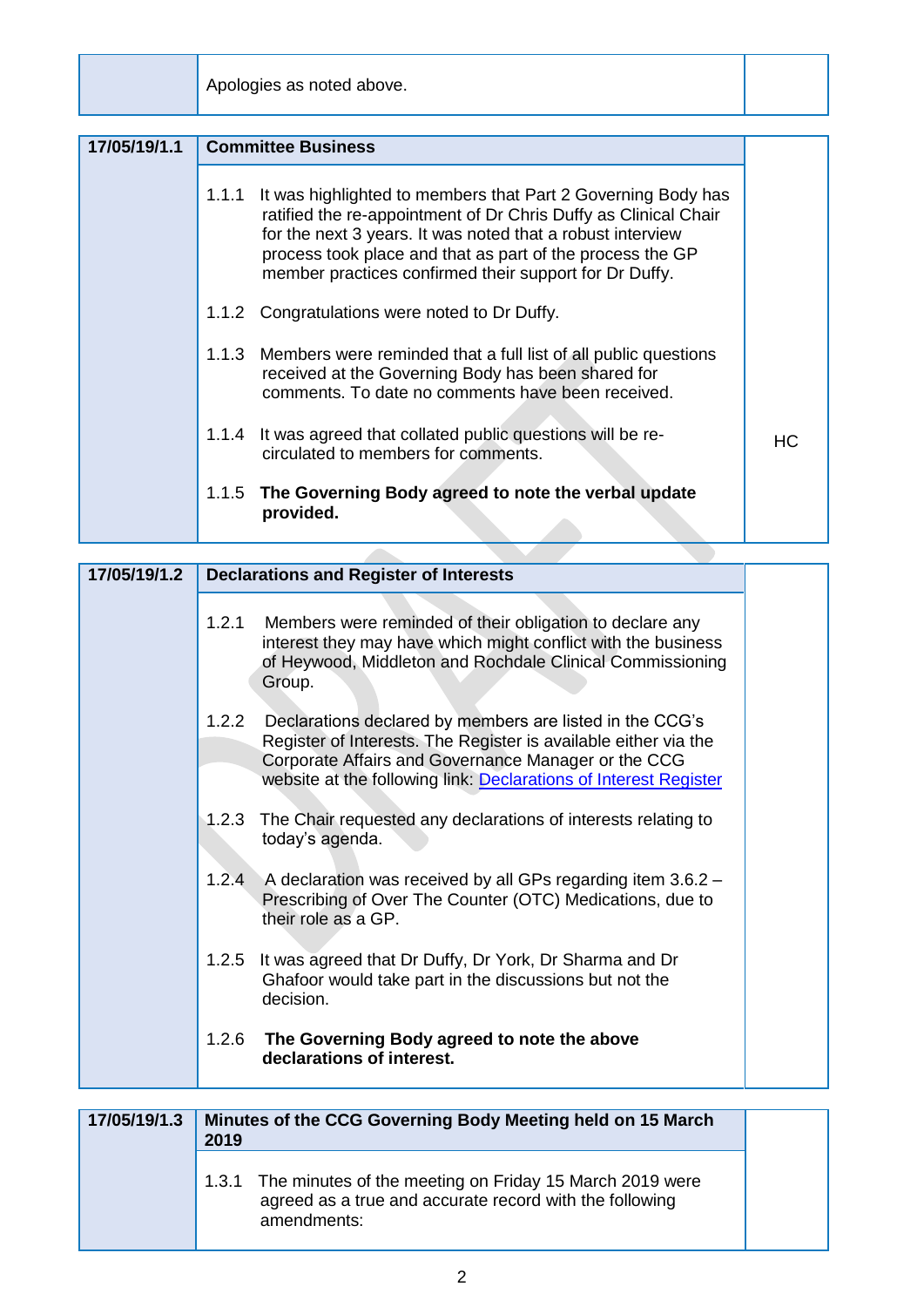Apologies as noted above.

| 17/05/19/1.1 |       | <b>Committee Business</b>                                                                                                                                                                                                                                                                                            |     |
|--------------|-------|----------------------------------------------------------------------------------------------------------------------------------------------------------------------------------------------------------------------------------------------------------------------------------------------------------------------|-----|
|              | 1.1.1 | It was highlighted to members that Part 2 Governing Body has<br>ratified the re-appointment of Dr Chris Duffy as Clinical Chair<br>for the next 3 years. It was noted that a robust interview<br>process took place and that as part of the process the GP<br>member practices confirmed their support for Dr Duffy. |     |
|              |       | 1.1.2 Congratulations were noted to Dr Duffy.                                                                                                                                                                                                                                                                        |     |
|              |       | 1.1.3 Members were reminded that a full list of all public questions<br>received at the Governing Body has been shared for<br>comments. To date no comments have been received.                                                                                                                                      |     |
|              | 1.1.4 | It was agreed that collated public questions will be re-<br>circulated to members for comments.                                                                                                                                                                                                                      | HC. |
|              | 1.1.5 | The Governing Body agreed to note the verbal update<br>provided.                                                                                                                                                                                                                                                     |     |

| 17/05/19/1.2 | <b>Declarations and Register of Interests</b>                                                                                                                                                                                                                             |
|--------------|---------------------------------------------------------------------------------------------------------------------------------------------------------------------------------------------------------------------------------------------------------------------------|
|              | 1.2.1<br>Members were reminded of their obligation to declare any<br>interest they may have which might conflict with the business<br>of Heywood, Middleton and Rochdale Clinical Commissioning                                                                           |
|              | Group.<br>1.2.2<br>Declarations declared by members are listed in the CCG's<br>Register of Interests. The Register is available either via the<br>Corporate Affairs and Governance Manager or the CCG<br>website at the following link: Declarations of Interest Register |
|              | The Chair requested any declarations of interests relating to<br>1.2.3<br>today's agenda.                                                                                                                                                                                 |
|              | 1.2.4<br>A declaration was received by all GPs regarding item 3.6.2 -<br>Prescribing of Over The Counter (OTC) Medications, due to<br>their role as a GP.                                                                                                                 |
|              | 1.2.5<br>It was agreed that Dr Duffy, Dr York, Dr Sharma and Dr<br>Ghafoor would take part in the discussions but not the<br>decision.                                                                                                                                    |
|              | The Governing Body agreed to note the above<br>1.2.6<br>declarations of interest.                                                                                                                                                                                         |
|              |                                                                                                                                                                                                                                                                           |
| 17/05/19/1.3 | Minutes of the CCG Governing Body Meeting held on 15 March<br>2019                                                                                                                                                                                                        |
|              | 1.3.1 The minutes of the meeting on Friday 15 March 2019 were                                                                                                                                                                                                             |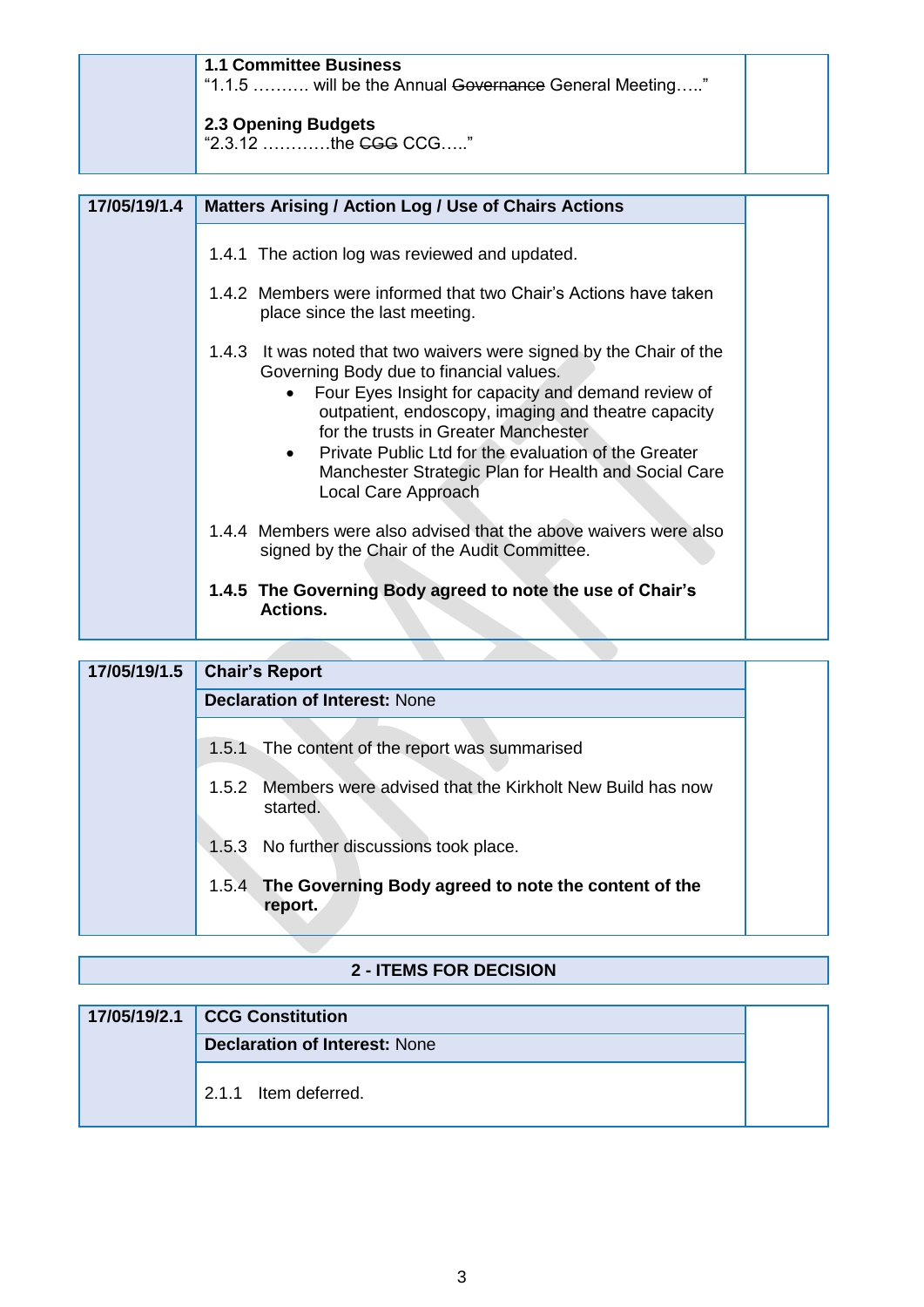| <b>1.1 Committee Business</b><br>"1.1.5  will be the Annual Governance General Meeting" |  |
|-----------------------------------------------------------------------------------------|--|
| 2.3 Opening Budgets<br>  "2.3.12 the <del>CGG</del> CCG"                                |  |

| 17/05/19/1.4 | <b>Matters Arising / Action Log / Use of Chairs Actions</b>                                                                                                                                                                                                                                                                                                                                                              |  |
|--------------|--------------------------------------------------------------------------------------------------------------------------------------------------------------------------------------------------------------------------------------------------------------------------------------------------------------------------------------------------------------------------------------------------------------------------|--|
|              | 1.4.1 The action log was reviewed and updated.<br>1.4.2 Members were informed that two Chair's Actions have taken                                                                                                                                                                                                                                                                                                        |  |
|              | place since the last meeting.                                                                                                                                                                                                                                                                                                                                                                                            |  |
|              | 1.4.3 It was noted that two waivers were signed by the Chair of the<br>Governing Body due to financial values.<br>Four Eyes Insight for capacity and demand review of<br>outpatient, endoscopy, imaging and theatre capacity<br>for the trusts in Greater Manchester<br>Private Public Ltd for the evaluation of the Greater<br>$\bullet$<br>Manchester Strategic Plan for Health and Social Care<br>Local Care Approach |  |
|              | 1.4.4 Members were also advised that the above waivers were also<br>signed by the Chair of the Audit Committee.                                                                                                                                                                                                                                                                                                          |  |
|              | 1.4.5 The Governing Body agreed to note the use of Chair's<br>Actions.                                                                                                                                                                                                                                                                                                                                                   |  |

# **17/05/19/1.5 Chair's Report Declaration of Interest:** None 1.5.1 The content of the report was summarised 1.5.2 Members were advised that the Kirkholt New Build has now started. 1.5.3 No further discussions took place. 1.5.4 **The Governing Body agreed to note the content of the report.**

### **2 - ITEMS FOR DECISION**

| 17/05/19/2.1 CCG Constitution        |  |
|--------------------------------------|--|
| <b>Declaration of Interest: None</b> |  |
| 2.1.1 Item deferred.                 |  |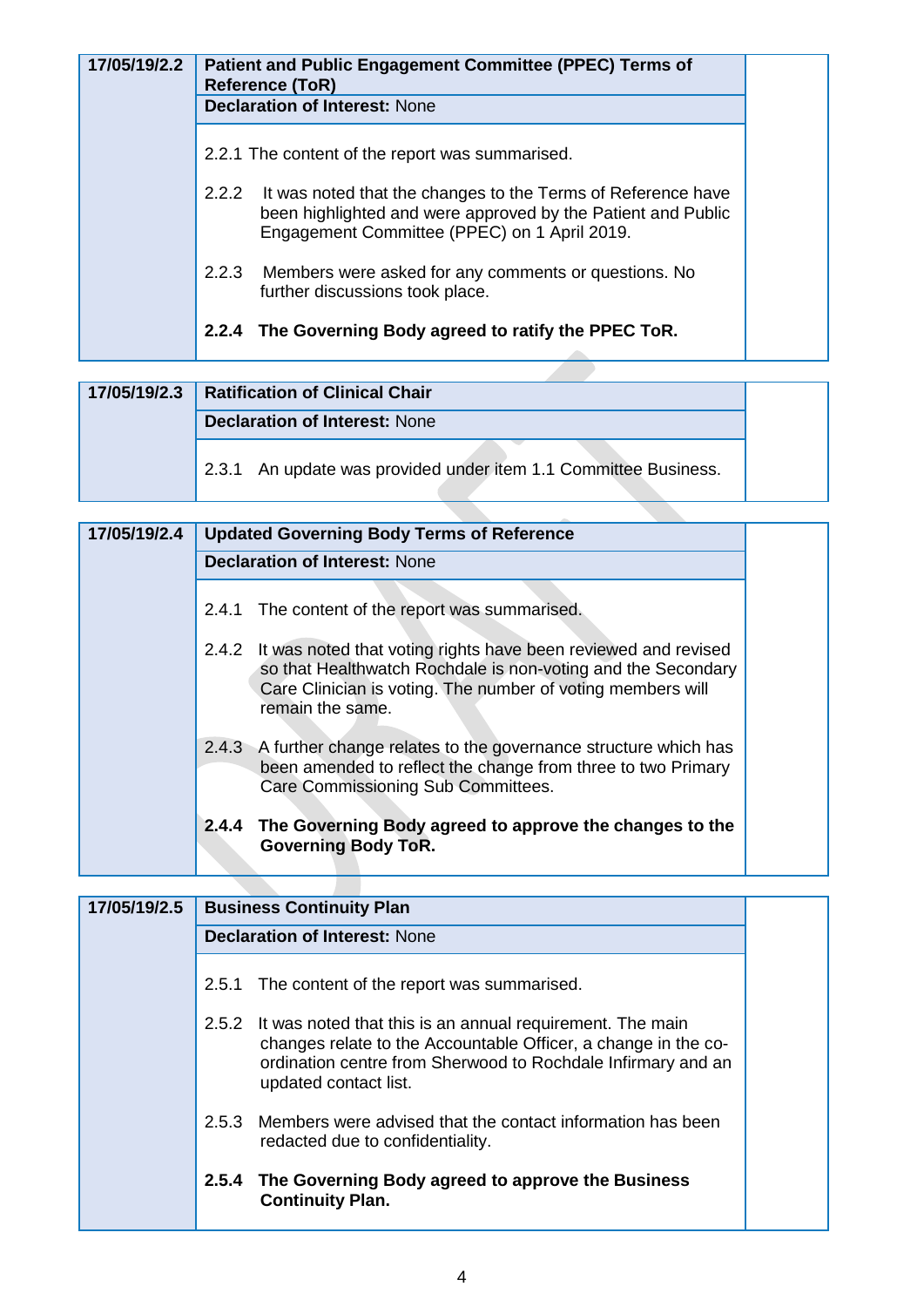| 17/05/19/2.2 | <b>Patient and Public Engagement Committee (PPEC) Terms of</b><br><b>Reference (ToR)</b>                                                                                           |
|--------------|------------------------------------------------------------------------------------------------------------------------------------------------------------------------------------|
|              | <b>Declaration of Interest: None</b>                                                                                                                                               |
|              | 2.2.1 The content of the report was summarised.                                                                                                                                    |
|              | 2.2.2 It was noted that the changes to the Terms of Reference have<br>been highlighted and were approved by the Patient and Public<br>Engagement Committee (PPEC) on 1 April 2019. |
|              | 2.2.3 Members were asked for any comments or questions. No<br>further discussions took place.                                                                                      |
|              | 2.2.4 The Governing Body agreed to ratify the PPEC ToR.                                                                                                                            |

| 17/05/19/2.3 | <b>Ratification of Clinical Chair</b>                           |
|--------------|-----------------------------------------------------------------|
|              | <b>Declaration of Interest: None</b>                            |
|              | 2.3.1 An update was provided under item 1.1 Committee Business. |
|              |                                                                 |

| 17/05/19/2.4 |       | <b>Updated Governing Body Terms of Reference</b>                                                                                                                                                                        |
|--------------|-------|-------------------------------------------------------------------------------------------------------------------------------------------------------------------------------------------------------------------------|
|              |       | <b>Declaration of Interest: None</b>                                                                                                                                                                                    |
|              |       | 2.4.1 The content of the report was summarised.                                                                                                                                                                         |
|              |       | 2.4.2 It was noted that voting rights have been reviewed and revised<br>so that Healthwatch Rochdale is non-voting and the Secondary<br>Care Clinician is voting. The number of voting members will<br>remain the same. |
|              |       | 2.4.3 A further change relates to the governance structure which has<br>been amended to reflect the change from three to two Primary<br>Care Commissioning Sub Committees.                                              |
|              | 2.4.4 | The Governing Body agreed to approve the changes to the<br><b>Governing Body ToR.</b>                                                                                                                                   |

| 17/05/19/2.5 | <b>Business Continuity Plan</b>                                                                                                                                                                                               |
|--------------|-------------------------------------------------------------------------------------------------------------------------------------------------------------------------------------------------------------------------------|
|              | <b>Declaration of Interest: None</b>                                                                                                                                                                                          |
|              | 2.5.1 The content of the report was summarised.                                                                                                                                                                               |
|              | It was noted that this is an annual requirement. The main<br>2.5.2<br>changes relate to the Accountable Officer, a change in the co-<br>ordination centre from Sherwood to Rochdale Infirmary and an<br>updated contact list. |
|              | Members were advised that the contact information has been<br>2.5.3<br>redacted due to confidentiality.                                                                                                                       |
|              | The Governing Body agreed to approve the Business<br>2.5.4<br><b>Continuity Plan.</b>                                                                                                                                         |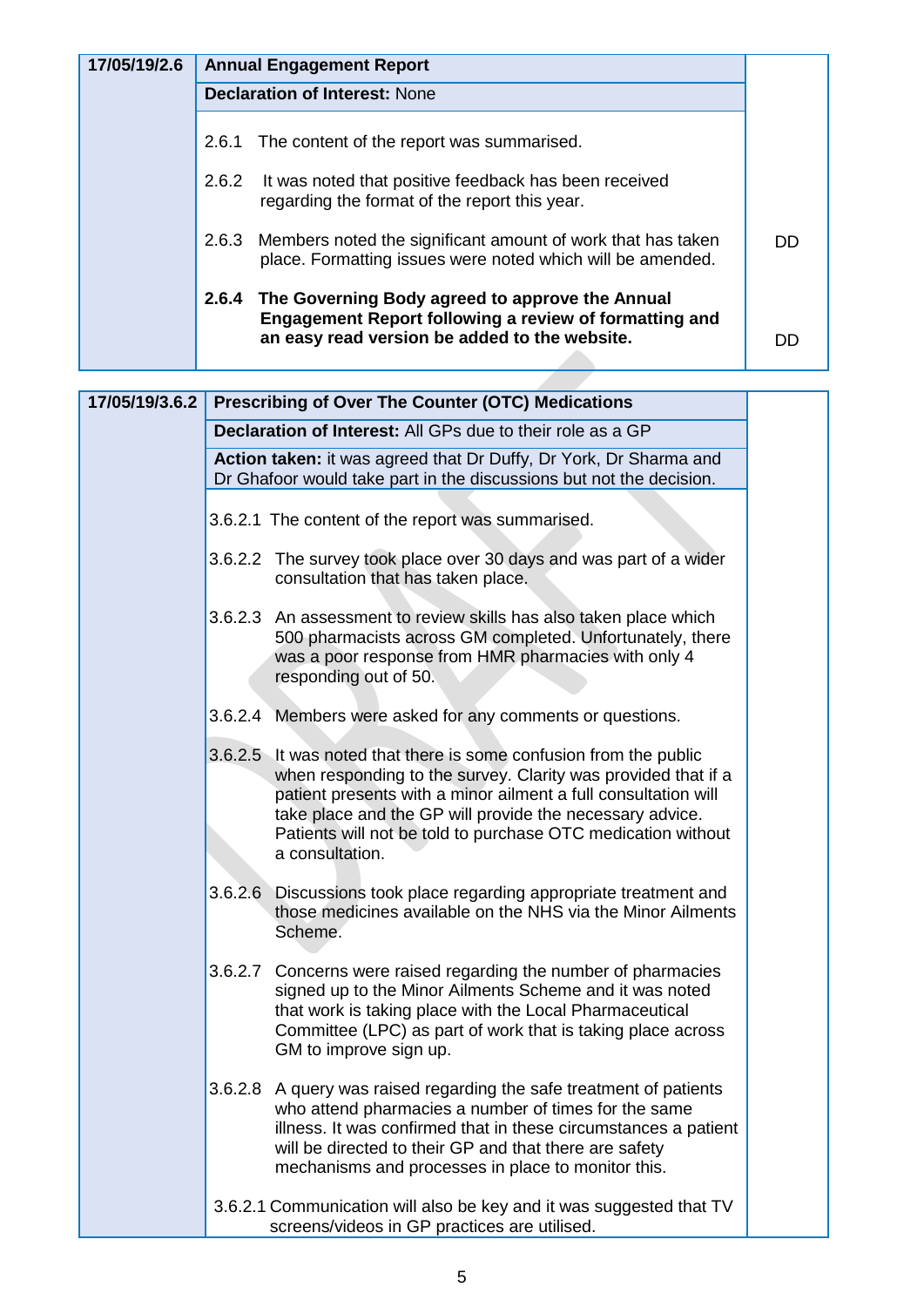| 17/05/19/2.6 | <b>Annual Engagement Report</b>      |                                                                                                                                                                   |    |  |
|--------------|--------------------------------------|-------------------------------------------------------------------------------------------------------------------------------------------------------------------|----|--|
|              | <b>Declaration of Interest: None</b> |                                                                                                                                                                   |    |  |
|              | 2.6.1                                | The content of the report was summarised.                                                                                                                         |    |  |
|              | 2.6.2                                | It was noted that positive feedback has been received<br>regarding the format of the report this year.                                                            |    |  |
|              |                                      | 2.6.3 Members noted the significant amount of work that has taken<br>place. Formatting issues were noted which will be amended.                                   | DD |  |
|              | 2.6.4                                | The Governing Body agreed to approve the Annual<br><b>Engagement Report following a review of formatting and</b><br>an easy read version be added to the website. | DГ |  |

| 17/05/19/3.6.2 | <b>Prescribing of Over The Counter (OTC) Medications</b>                                                                                                                                                                                                                                                                                            |  |  |
|----------------|-----------------------------------------------------------------------------------------------------------------------------------------------------------------------------------------------------------------------------------------------------------------------------------------------------------------------------------------------------|--|--|
|                | Declaration of Interest: All GPs due to their role as a GP                                                                                                                                                                                                                                                                                          |  |  |
|                | Action taken: it was agreed that Dr Duffy, Dr York, Dr Sharma and<br>Dr Ghafoor would take part in the discussions but not the decision.                                                                                                                                                                                                            |  |  |
|                | 3.6.2.1 The content of the report was summarised.                                                                                                                                                                                                                                                                                                   |  |  |
|                | 3.6.2.2 The survey took place over 30 days and was part of a wider<br>consultation that has taken place.                                                                                                                                                                                                                                            |  |  |
|                | 3.6.2.3 An assessment to review skills has also taken place which<br>500 pharmacists across GM completed. Unfortunately, there<br>was a poor response from HMR pharmacies with only 4<br>responding out of 50.                                                                                                                                      |  |  |
|                | 3.6.2.4 Members were asked for any comments or questions.                                                                                                                                                                                                                                                                                           |  |  |
|                | 3.6.2.5 It was noted that there is some confusion from the public<br>when responding to the survey. Clarity was provided that if a<br>patient presents with a minor ailment a full consultation will<br>take place and the GP will provide the necessary advice.<br>Patients will not be told to purchase OTC medication without<br>a consultation. |  |  |
|                | Discussions took place regarding appropriate treatment and<br>3.6.2.6<br>those medicines available on the NHS via the Minor Ailments<br>Scheme.                                                                                                                                                                                                     |  |  |
|                | 3.6.2.7 Concerns were raised regarding the number of pharmacies<br>signed up to the Minor Ailments Scheme and it was noted<br>that work is taking place with the Local Pharmaceutical<br>Committee (LPC) as part of work that is taking place across<br>GM to improve sign up.                                                                      |  |  |
|                | 3.6.2.8 A query was raised regarding the safe treatment of patients<br>who attend pharmacies a number of times for the same<br>illness. It was confirmed that in these circumstances a patient<br>will be directed to their GP and that there are safety<br>mechanisms and processes in place to monitor this.                                      |  |  |
|                | 3.6.2.1 Communication will also be key and it was suggested that TV<br>screens/videos in GP practices are utilised.                                                                                                                                                                                                                                 |  |  |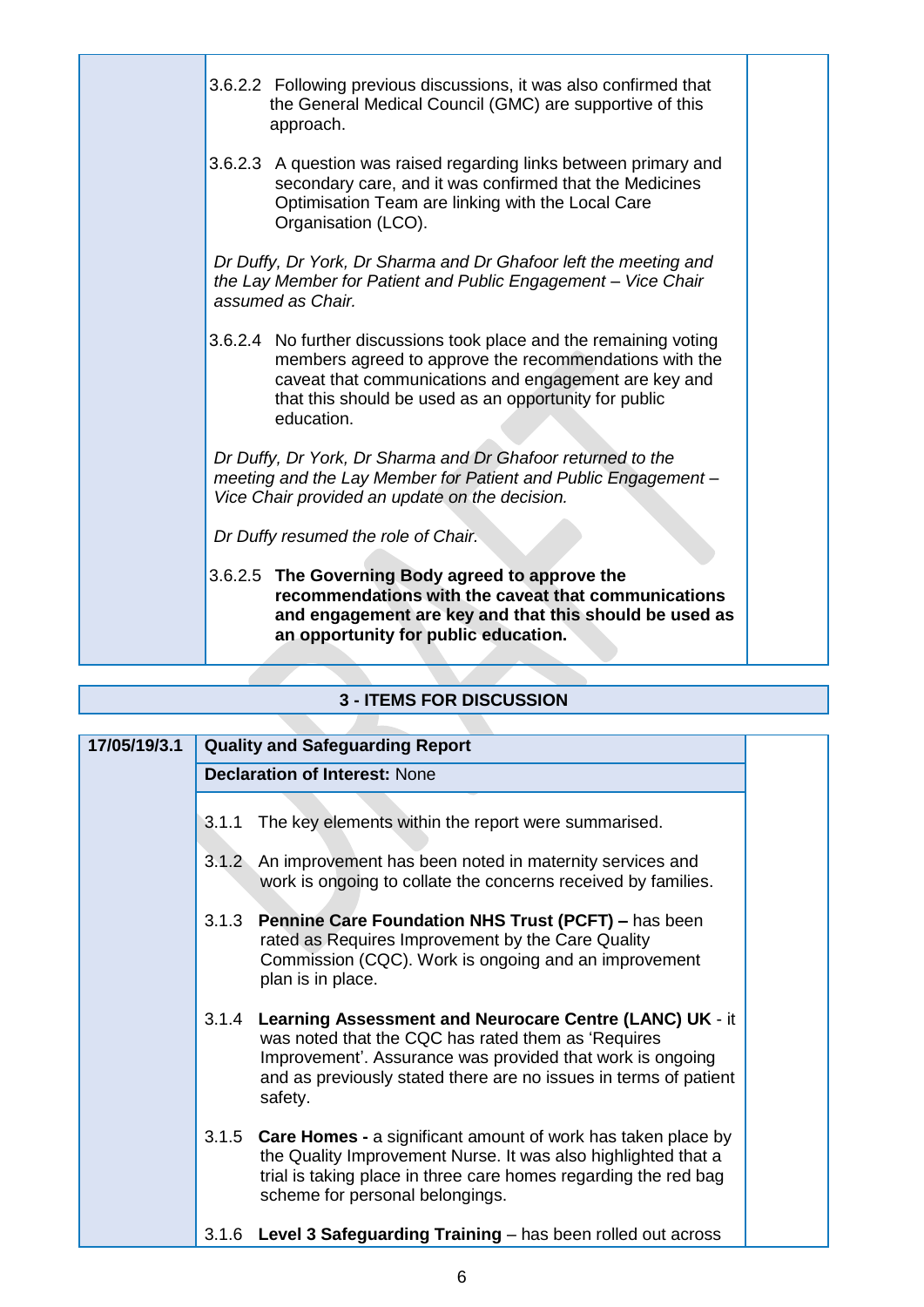| 3.6.2.2 Following previous discussions, it was also confirmed that<br>the General Medical Council (GMC) are supportive of this<br>approach.                                                                                                                  |
|--------------------------------------------------------------------------------------------------------------------------------------------------------------------------------------------------------------------------------------------------------------|
| 3.6.2.3 A question was raised regarding links between primary and<br>secondary care, and it was confirmed that the Medicines<br>Optimisation Team are linking with the Local Care<br>Organisation (LCO).                                                     |
| Dr Duffy, Dr York, Dr Sharma and Dr Ghafoor left the meeting and<br>the Lay Member for Patient and Public Engagement - Vice Chair<br>assumed as Chair.                                                                                                       |
| 3.6.2.4 No further discussions took place and the remaining voting<br>members agreed to approve the recommendations with the<br>caveat that communications and engagement are key and<br>that this should be used as an opportunity for public<br>education. |
| Dr Duffy, Dr York, Dr Sharma and Dr Ghafoor returned to the<br>meeting and the Lay Member for Patient and Public Engagement -<br>Vice Chair provided an update on the decision.                                                                              |
| Dr Duffy resumed the role of Chair.                                                                                                                                                                                                                          |
| 3.6.2.5 The Governing Body agreed to approve the<br>recommendations with the caveat that communications<br>and engagement are key and that this should be used as<br>an opportunity for public education.                                                    |
|                                                                                                                                                                                                                                                              |

# **3 - ITEMS FOR DISCUSSION**

| 17/05/19/3.1 | <b>Quality and Safeguarding Report</b>                                                                                                                                                                                                                          |  |  |
|--------------|-----------------------------------------------------------------------------------------------------------------------------------------------------------------------------------------------------------------------------------------------------------------|--|--|
|              | <b>Declaration of Interest: None</b>                                                                                                                                                                                                                            |  |  |
|              |                                                                                                                                                                                                                                                                 |  |  |
|              | 3.1.1 The key elements within the report were summarised.                                                                                                                                                                                                       |  |  |
|              | 3.1.2 An improvement has been noted in maternity services and<br>work is ongoing to collate the concerns received by families.                                                                                                                                  |  |  |
|              | 3.1.3 Pennine Care Foundation NHS Trust (PCFT) - has been<br>rated as Requires Improvement by the Care Quality<br>Commission (CQC). Work is ongoing and an improvement<br>plan is in place.                                                                     |  |  |
|              | 3.1.4 Learning Assessment and Neurocare Centre (LANC) UK - it<br>was noted that the CQC has rated them as 'Requires<br>Improvement'. Assurance was provided that work is ongoing<br>and as previously stated there are no issues in terms of patient<br>safety. |  |  |
|              | 3.1.5 Care Homes - a significant amount of work has taken place by<br>the Quality Improvement Nurse. It was also highlighted that a<br>trial is taking place in three care homes regarding the red bag<br>scheme for personal belongings.                       |  |  |
|              | 3.1.6 Level 3 Safeguarding Training - has been rolled out across                                                                                                                                                                                                |  |  |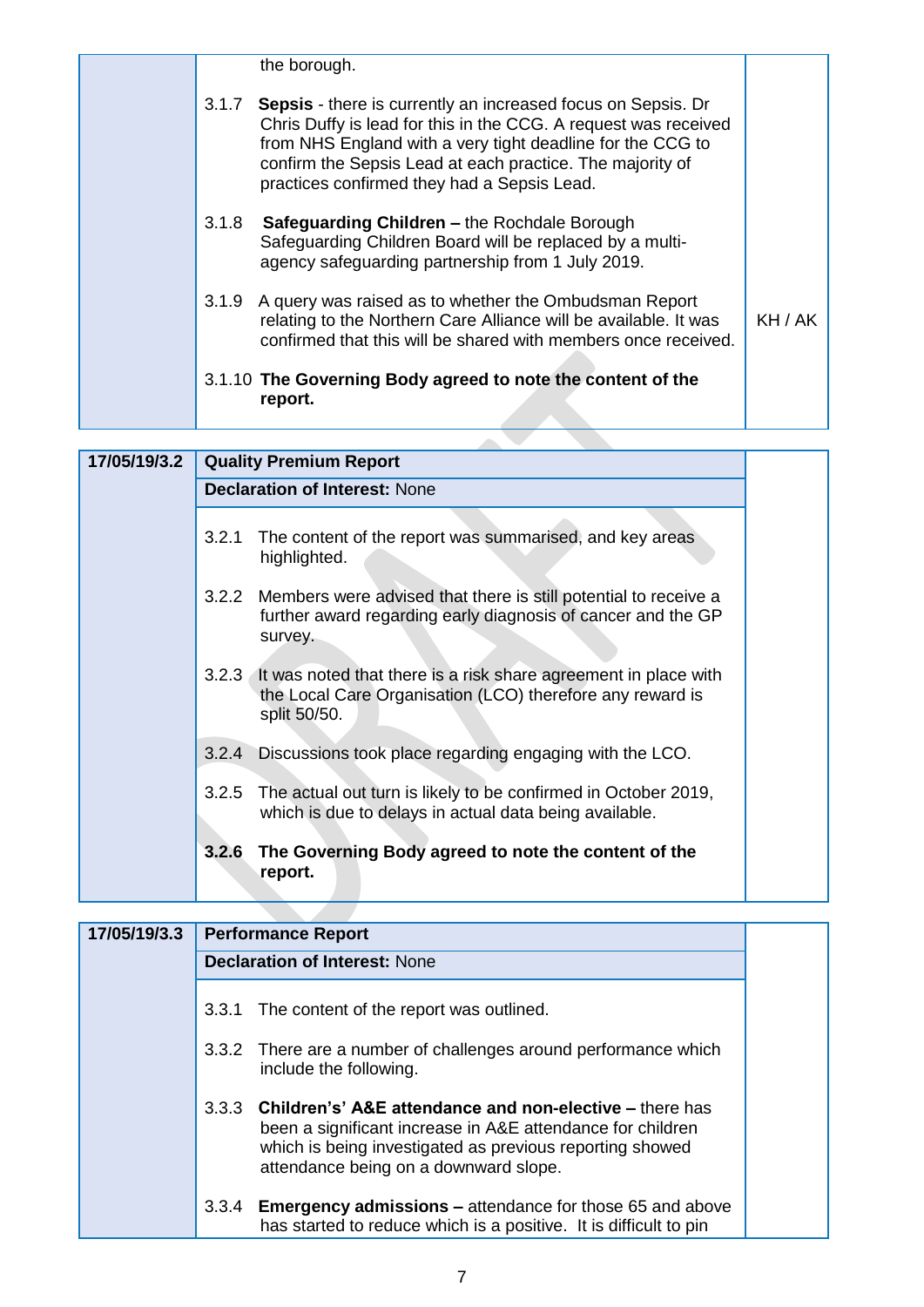|       | the borough.                                                                                                                                                                                                                                                                                                     |         |
|-------|------------------------------------------------------------------------------------------------------------------------------------------------------------------------------------------------------------------------------------------------------------------------------------------------------------------|---------|
| 3.1.7 | <b>Sepsis</b> - there is currently an increased focus on Sepsis. Dr<br>Chris Duffy is lead for this in the CCG. A request was received<br>from NHS England with a very tight deadline for the CCG to<br>confirm the Sepsis Lead at each practice. The majority of<br>practices confirmed they had a Sepsis Lead. |         |
|       | 3.1.8 Safeguarding Children – the Rochdale Borough<br>Safeguarding Children Board will be replaced by a multi-<br>agency safeguarding partnership from 1 July 2019.                                                                                                                                              |         |
|       | 3.1.9 A query was raised as to whether the Ombudsman Report<br>relating to the Northern Care Alliance will be available. It was<br>confirmed that this will be shared with members once received.                                                                                                                | KH / AK |
|       | 3.1.10 The Governing Body agreed to note the content of the<br>report.                                                                                                                                                                                                                                           |         |

| 17/05/19/3.2 | <b>Quality Premium Report</b>        |                                                                                                                                                    |  |  |  |
|--------------|--------------------------------------|----------------------------------------------------------------------------------------------------------------------------------------------------|--|--|--|
|              | <b>Declaration of Interest: None</b> |                                                                                                                                                    |  |  |  |
|              | 3.2.1                                | The content of the report was summarised, and key areas<br>highlighted.                                                                            |  |  |  |
|              |                                      | 3.2.2 Members were advised that there is still potential to receive a<br>further award regarding early diagnosis of cancer and the GP<br>survey.   |  |  |  |
|              |                                      | 3.2.3 It was noted that there is a risk share agreement in place with<br>the Local Care Organisation (LCO) therefore any reward is<br>split 50/50. |  |  |  |
|              | 3.2.4                                | Discussions took place regarding engaging with the LCO.                                                                                            |  |  |  |
|              | 3.2.5                                | The actual out turn is likely to be confirmed in October 2019,<br>which is due to delays in actual data being available.                           |  |  |  |
|              | 3.2.6                                | The Governing Body agreed to note the content of the<br>report.                                                                                    |  |  |  |

| 17/05/19/3.3 |       | <b>Performance Report</b>                                                                                                                                                                                                        |  |
|--------------|-------|----------------------------------------------------------------------------------------------------------------------------------------------------------------------------------------------------------------------------------|--|
|              |       | <b>Declaration of Interest: None</b>                                                                                                                                                                                             |  |
|              |       | 3.3.1 The content of the report was outlined.                                                                                                                                                                                    |  |
|              |       | 3.3.2 There are a number of challenges around performance which<br>include the following.                                                                                                                                        |  |
|              |       | 3.3.3 Children's' A&E attendance and non-elective – there has<br>been a significant increase in A&E attendance for children<br>which is being investigated as previous reporting showed<br>attendance being on a downward slope. |  |
|              | 3.3.4 | <b>Emergency admissions – attendance for those 65 and above</b><br>has started to reduce which is a positive. It is difficult to pin                                                                                             |  |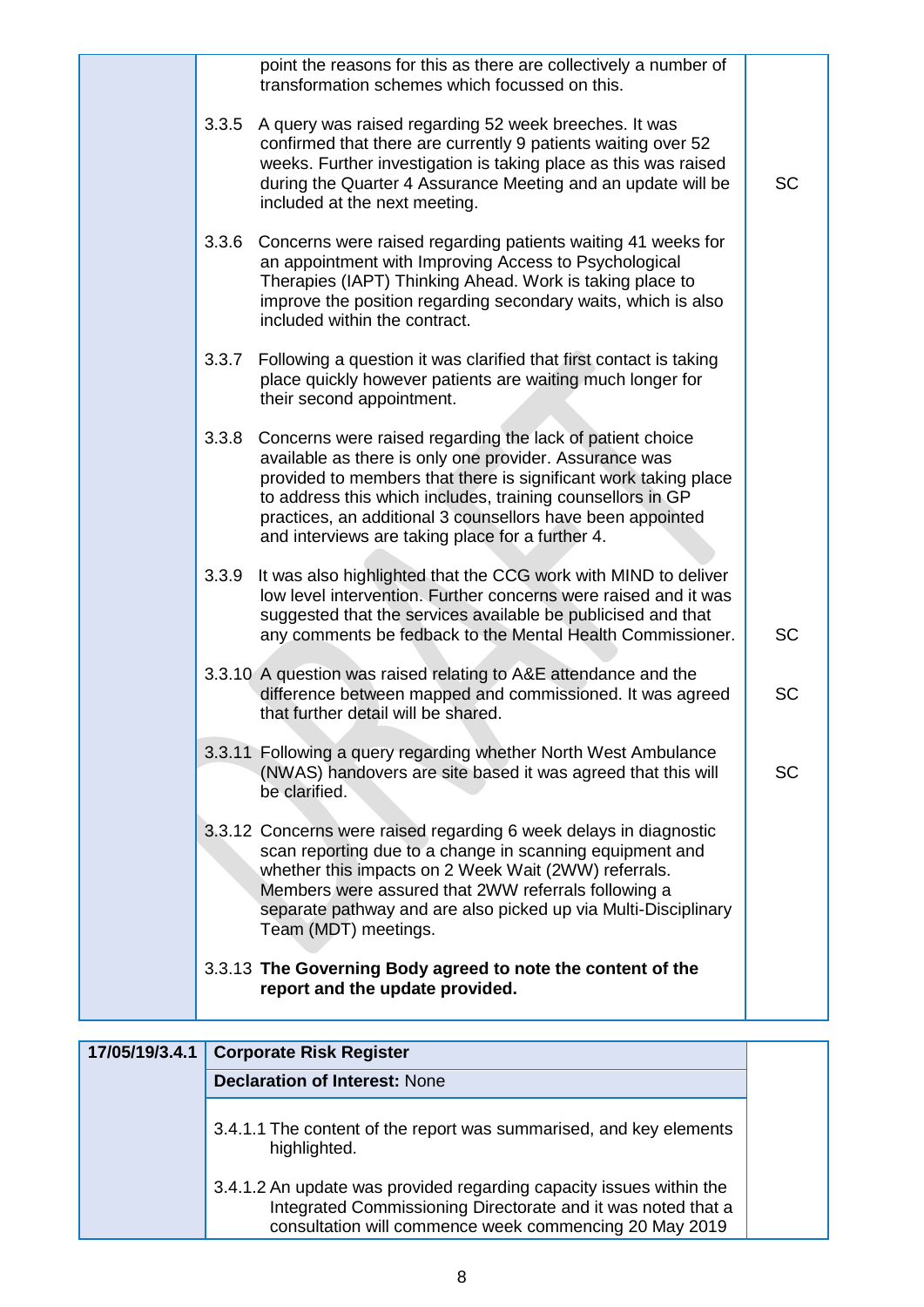|       | point the reasons for this as there are collectively a number of<br>transformation schemes which focussed on this.                                                                                                                                                                                                                                                           |           |
|-------|------------------------------------------------------------------------------------------------------------------------------------------------------------------------------------------------------------------------------------------------------------------------------------------------------------------------------------------------------------------------------|-----------|
| 3.3.5 | A query was raised regarding 52 week breeches. It was<br>confirmed that there are currently 9 patients waiting over 52<br>weeks. Further investigation is taking place as this was raised<br>during the Quarter 4 Assurance Meeting and an update will be<br>included at the next meeting.                                                                                   | <b>SC</b> |
|       | 3.3.6 Concerns were raised regarding patients waiting 41 weeks for<br>an appointment with Improving Access to Psychological<br>Therapies (IAPT) Thinking Ahead. Work is taking place to<br>improve the position regarding secondary waits, which is also<br>included within the contract.                                                                                    |           |
|       | 3.3.7 Following a question it was clarified that first contact is taking<br>place quickly however patients are waiting much longer for<br>their second appointment.                                                                                                                                                                                                          |           |
|       | 3.3.8 Concerns were raised regarding the lack of patient choice<br>available as there is only one provider. Assurance was<br>provided to members that there is significant work taking place<br>to address this which includes, training counsellors in GP<br>practices, an additional 3 counsellors have been appointed<br>and interviews are taking place for a further 4. |           |
| 3.3.9 | It was also highlighted that the CCG work with MIND to deliver<br>low level intervention. Further concerns were raised and it was<br>suggested that the services available be publicised and that<br>any comments be fedback to the Mental Health Commissioner.                                                                                                              | <b>SC</b> |
|       | 3.3.10 A question was raised relating to A&E attendance and the<br>difference between mapped and commissioned. It was agreed<br>that further detail will be shared.                                                                                                                                                                                                          | <b>SC</b> |
|       | 3.3.11 Following a query regarding whether North West Ambulance<br>(NWAS) handovers are site based it was agreed that this will<br>be clarified.                                                                                                                                                                                                                             | <b>SC</b> |
|       | 3.3.12 Concerns were raised regarding 6 week delays in diagnostic<br>scan reporting due to a change in scanning equipment and<br>whether this impacts on 2 Week Wait (2WW) referrals.<br>Members were assured that 2WW referrals following a<br>separate pathway and are also picked up via Multi-Disciplinary<br>Team (MDT) meetings.                                       |           |
|       | 3.3.13 The Governing Body agreed to note the content of the<br>report and the update provided.                                                                                                                                                                                                                                                                               |           |

| 17/05/19/3.4.1 | <b>Corporate Risk Register</b>                                                                                                                                                                |
|----------------|-----------------------------------------------------------------------------------------------------------------------------------------------------------------------------------------------|
|                | <b>Declaration of Interest: None</b>                                                                                                                                                          |
|                | 3.4.1.1 The content of the report was summarised, and key elements<br>highlighted.                                                                                                            |
|                | 3.4.1.2 An update was provided regarding capacity issues within the<br>Integrated Commissioning Directorate and it was noted that a<br>consultation will commence week commencing 20 May 2019 |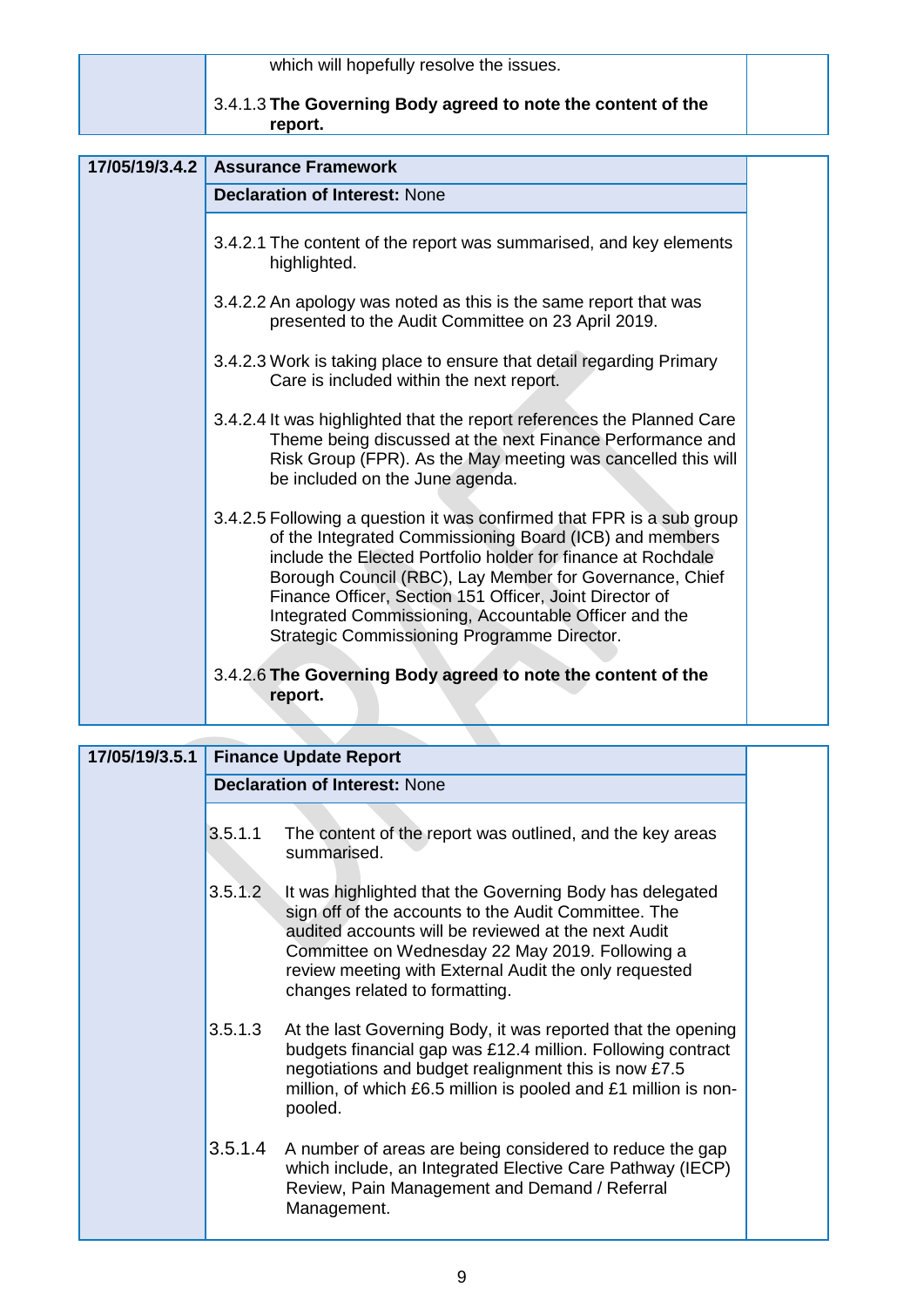|                | which will hopefully resolve the issues.                                                                                                                                                                                                                                                                                                                                                                                       |  |
|----------------|--------------------------------------------------------------------------------------------------------------------------------------------------------------------------------------------------------------------------------------------------------------------------------------------------------------------------------------------------------------------------------------------------------------------------------|--|
|                | 3.4.1.3 The Governing Body agreed to note the content of the<br>report.                                                                                                                                                                                                                                                                                                                                                        |  |
| 17/05/19/3.4.2 | <b>Assurance Framework</b>                                                                                                                                                                                                                                                                                                                                                                                                     |  |
|                | <b>Declaration of Interest: None</b>                                                                                                                                                                                                                                                                                                                                                                                           |  |
|                |                                                                                                                                                                                                                                                                                                                                                                                                                                |  |
|                | 3.4.2.1 The content of the report was summarised, and key elements<br>highlighted.                                                                                                                                                                                                                                                                                                                                             |  |
|                | 3.4.2.2 An apology was noted as this is the same report that was<br>presented to the Audit Committee on 23 April 2019.                                                                                                                                                                                                                                                                                                         |  |
|                | 3.4.2.3 Work is taking place to ensure that detail regarding Primary<br>Care is included within the next report.                                                                                                                                                                                                                                                                                                               |  |
|                | 3.4.2.4 It was highlighted that the report references the Planned Care<br>Theme being discussed at the next Finance Performance and<br>Risk Group (FPR). As the May meeting was cancelled this will<br>be included on the June agenda.                                                                                                                                                                                         |  |
|                | 3.4.2.5 Following a question it was confirmed that FPR is a sub group<br>of the Integrated Commissioning Board (ICB) and members<br>include the Elected Portfolio holder for finance at Rochdale<br>Borough Council (RBC), Lay Member for Governance, Chief<br>Finance Officer, Section 151 Officer, Joint Director of<br>Integrated Commissioning, Accountable Officer and the<br>Strategic Commissioning Programme Director. |  |
|                | 3.4.2.6 The Governing Body agreed to note the content of the<br>report.                                                                                                                                                                                                                                                                                                                                                        |  |

| 17/05/19/3.5.1 |                                      | <b>Finance Update Report</b>                                                                                                                                                                                                                                                                                          |  |  |
|----------------|--------------------------------------|-----------------------------------------------------------------------------------------------------------------------------------------------------------------------------------------------------------------------------------------------------------------------------------------------------------------------|--|--|
|                | <b>Declaration of Interest: None</b> |                                                                                                                                                                                                                                                                                                                       |  |  |
|                |                                      |                                                                                                                                                                                                                                                                                                                       |  |  |
|                | 3.5.1.1                              | The content of the report was outlined, and the key areas<br>summarised.                                                                                                                                                                                                                                              |  |  |
|                | 3.5.1.2                              | It was highlighted that the Governing Body has delegated<br>sign off of the accounts to the Audit Committee. The<br>audited accounts will be reviewed at the next Audit<br>Committee on Wednesday 22 May 2019. Following a<br>review meeting with External Audit the only requested<br>changes related to formatting. |  |  |
|                | 3.5.1.3                              | At the last Governing Body, it was reported that the opening<br>budgets financial gap was £12.4 million. Following contract<br>negotiations and budget realignment this is now £7.5<br>million, of which £6.5 million is pooled and £1 million is non-<br>pooled.                                                     |  |  |
|                |                                      | 3.5.1.4 A number of areas are being considered to reduce the gap<br>which include, an Integrated Elective Care Pathway (IECP)<br>Review, Pain Management and Demand / Referral<br>Management.                                                                                                                         |  |  |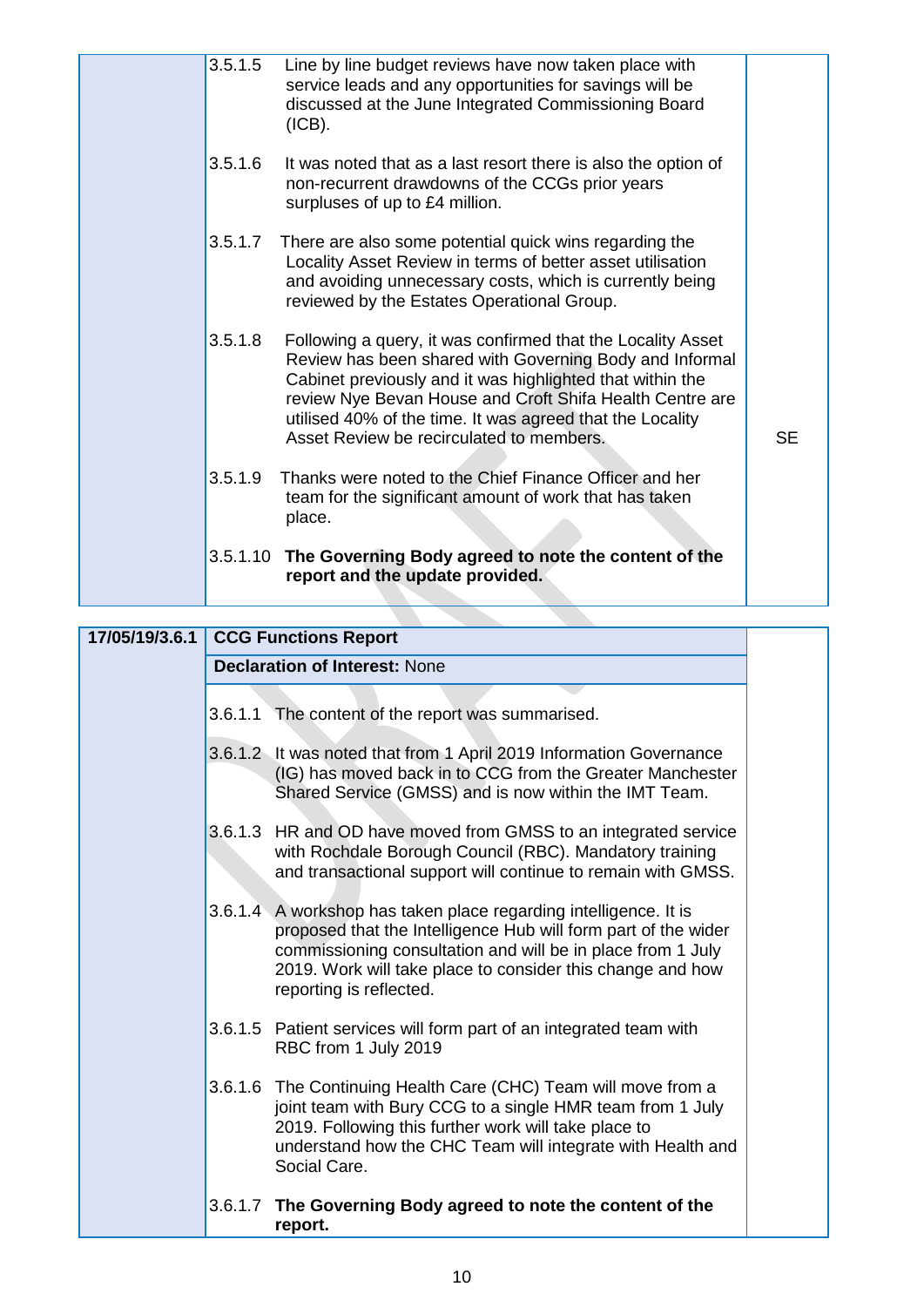| 3.5.1.5 | Line by line budget reviews have now taken place with<br>service leads and any opportunities for savings will be<br>discussed at the June Integrated Commissioning Board<br>(ICB).                                                                                                                                                                       |           |
|---------|----------------------------------------------------------------------------------------------------------------------------------------------------------------------------------------------------------------------------------------------------------------------------------------------------------------------------------------------------------|-----------|
| 3.5.1.6 | It was noted that as a last resort there is also the option of<br>non-recurrent drawdowns of the CCGs prior years<br>surpluses of up to £4 million.                                                                                                                                                                                                      |           |
| 3.5.1.7 | There are also some potential quick wins regarding the<br>Locality Asset Review in terms of better asset utilisation<br>and avoiding unnecessary costs, which is currently being<br>reviewed by the Estates Operational Group.                                                                                                                           |           |
| 3.5.1.8 | Following a query, it was confirmed that the Locality Asset<br>Review has been shared with Governing Body and Informal<br>Cabinet previously and it was highlighted that within the<br>review Nye Bevan House and Croft Shifa Health Centre are<br>utilised 40% of the time. It was agreed that the Locality<br>Asset Review be recirculated to members. | <b>SE</b> |
| 3.5.1.9 | Thanks were noted to the Chief Finance Officer and her<br>team for the significant amount of work that has taken<br>place.                                                                                                                                                                                                                               |           |
|         | 3.5.1.10 The Governing Body agreed to note the content of the<br>report and the update provided.                                                                                                                                                                                                                                                         |           |

| 17/05/19/3.6.1 | <b>CCG Functions Report</b>                                                                                                                                                                                                                                                                |
|----------------|--------------------------------------------------------------------------------------------------------------------------------------------------------------------------------------------------------------------------------------------------------------------------------------------|
|                | <b>Declaration of Interest: None</b>                                                                                                                                                                                                                                                       |
|                | 3.6.1.1 The content of the report was summarised.                                                                                                                                                                                                                                          |
|                | 3.6.1.2 It was noted that from 1 April 2019 Information Governance<br>(IG) has moved back in to CCG from the Greater Manchester<br>Shared Service (GMSS) and is now within the IMT Team.                                                                                                   |
|                | 3.6.1.3 HR and OD have moved from GMSS to an integrated service<br>with Rochdale Borough Council (RBC). Mandatory training<br>and transactional support will continue to remain with GMSS.                                                                                                 |
|                | 3.6.1.4 A workshop has taken place regarding intelligence. It is<br>proposed that the Intelligence Hub will form part of the wider<br>commissioning consultation and will be in place from 1 July<br>2019. Work will take place to consider this change and how<br>reporting is reflected. |
|                | 3.6.1.5 Patient services will form part of an integrated team with<br>RBC from 1 July 2019                                                                                                                                                                                                 |
|                | 3.6.1.6 The Continuing Health Care (CHC) Team will move from a<br>joint team with Bury CCG to a single HMR team from 1 July<br>2019. Following this further work will take place to<br>understand how the CHC Team will integrate with Health and<br>Social Care.                          |
|                | 3.6.1.7 The Governing Body agreed to note the content of the<br>report.                                                                                                                                                                                                                    |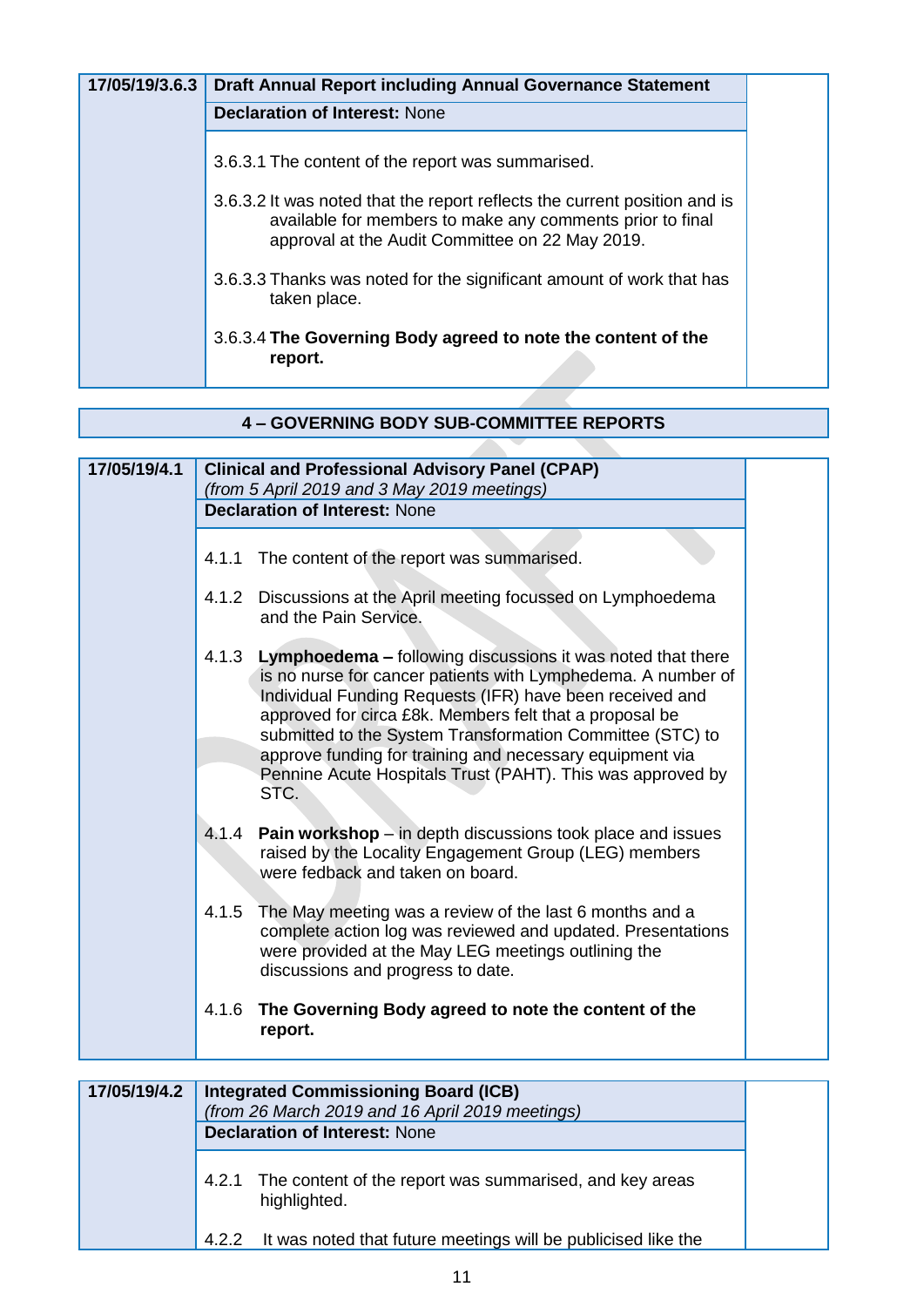| 17/05/19/3.6.3 | <b>Draft Annual Report including Annual Governance Statement</b>                                                                                                                          |  |
|----------------|-------------------------------------------------------------------------------------------------------------------------------------------------------------------------------------------|--|
|                | <b>Declaration of Interest: None</b>                                                                                                                                                      |  |
|                | 3.6.3.1 The content of the report was summarised.                                                                                                                                         |  |
|                | 3.6.3.2 It was noted that the report reflects the current position and is<br>available for members to make any comments prior to final<br>approval at the Audit Committee on 22 May 2019. |  |
|                | 3.6.3.3 Thanks was noted for the significant amount of work that has<br>taken place.                                                                                                      |  |
|                | 3.6.3.4 The Governing Body agreed to note the content of the<br>report.                                                                                                                   |  |

| 17/05/19/4.1 | <b>Clinical and Professional Advisory Panel (CPAP)</b><br>(from 5 April 2019 and 3 May 2019 meetings)<br><b>Declaration of Interest: None</b>                                                                                                                                                                                                                                                                                                              |
|--------------|------------------------------------------------------------------------------------------------------------------------------------------------------------------------------------------------------------------------------------------------------------------------------------------------------------------------------------------------------------------------------------------------------------------------------------------------------------|
|              |                                                                                                                                                                                                                                                                                                                                                                                                                                                            |
|              | The content of the report was summarised.<br>4.1.1                                                                                                                                                                                                                                                                                                                                                                                                         |
|              | Discussions at the April meeting focussed on Lymphoedema<br>4.1.2<br>and the Pain Service.                                                                                                                                                                                                                                                                                                                                                                 |
|              | Lymphoedema - following discussions it was noted that there<br>4.1.3<br>is no nurse for cancer patients with Lymphedema. A number of<br>Individual Funding Requests (IFR) have been received and<br>approved for circa £8k. Members felt that a proposal be<br>submitted to the System Transformation Committee (STC) to<br>approve funding for training and necessary equipment via<br>Pennine Acute Hospitals Trust (PAHT). This was approved by<br>STC. |
|              | Pain workshop - in depth discussions took place and issues<br>4.1.4<br>raised by the Locality Engagement Group (LEG) members<br>were fedback and taken on board.                                                                                                                                                                                                                                                                                           |
|              | 4.1.5<br>The May meeting was a review of the last 6 months and a<br>complete action log was reviewed and updated. Presentations<br>were provided at the May LEG meetings outlining the<br>discussions and progress to date.                                                                                                                                                                                                                                |
|              | The Governing Body agreed to note the content of the<br>4.1.6<br>report.                                                                                                                                                                                                                                                                                                                                                                                   |
|              |                                                                                                                                                                                                                                                                                                                                                                                                                                                            |
| 17/05/19/4.2 | <b>Integrated Commissioning Board (ICB)</b>                                                                                                                                                                                                                                                                                                                                                                                                                |
|              | (from 26 March 2019 and 16 April 2019 meetings)<br><b>Declaration of Interest: None</b>                                                                                                                                                                                                                                                                                                                                                                    |
|              |                                                                                                                                                                                                                                                                                                                                                                                                                                                            |

|  |  | 4.2.1 The content of the report was summarised, and key areas<br>highlighted. |
|--|--|-------------------------------------------------------------------------------|
|--|--|-------------------------------------------------------------------------------|

4.2.2 It was noted that future meetings will be publicised like the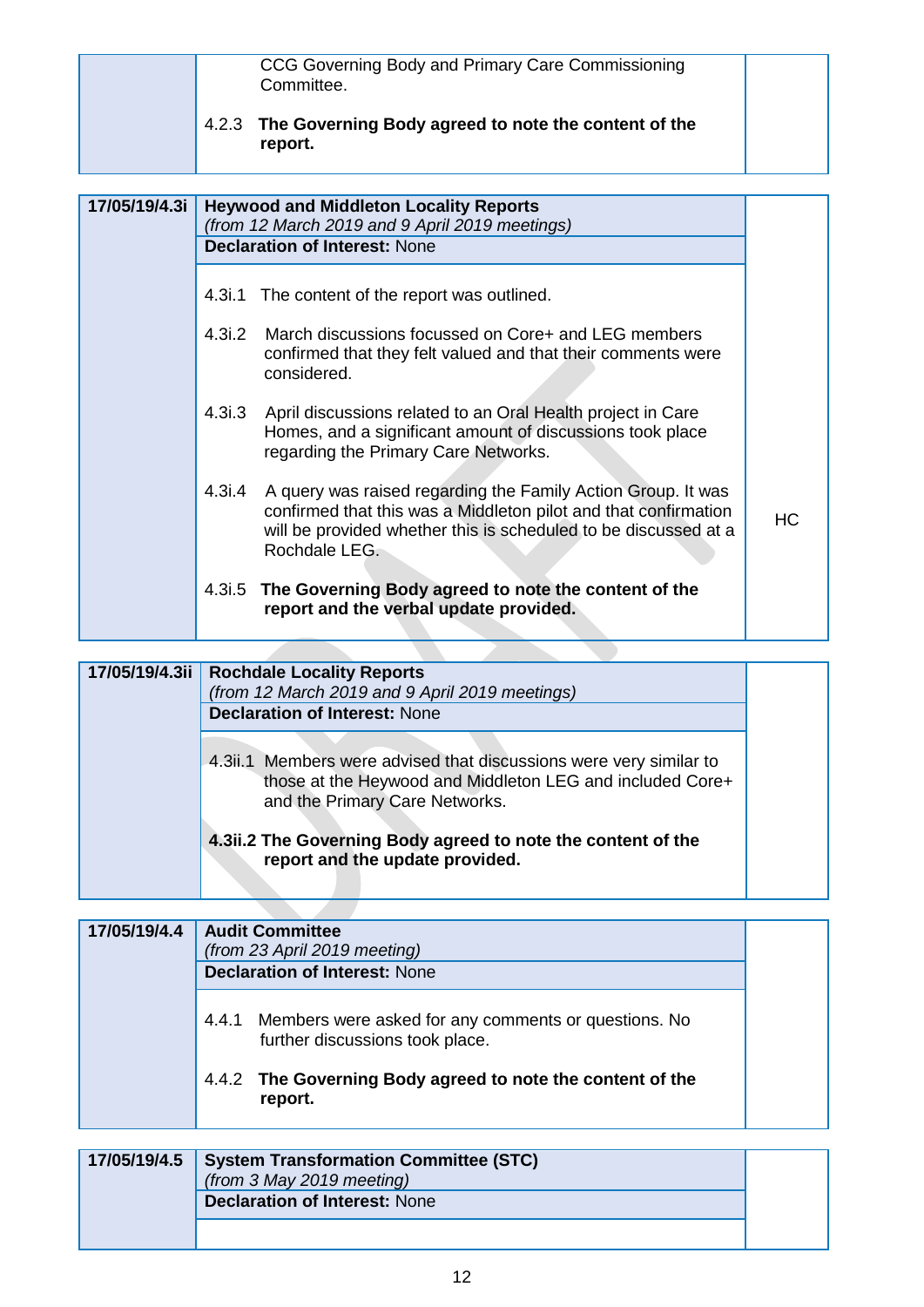|               | 4.2.3  | CCG Governing Body and Primary Care Commissioning<br>Committee.<br>The Governing Body agreed to note the content of the<br>report.                                                                                  |           |
|---------------|--------|---------------------------------------------------------------------------------------------------------------------------------------------------------------------------------------------------------------------|-----------|
| 17/05/19/4.3i |        | <b>Heywood and Middleton Locality Reports</b><br>(from 12 March 2019 and 9 April 2019 meetings)<br><b>Declaration of Interest: None</b>                                                                             |           |
|               |        | 4.3i.1 The content of the report was outlined.                                                                                                                                                                      |           |
|               | 4.3i.2 | March discussions focussed on Core+ and LEG members<br>confirmed that they felt valued and that their comments were<br>considered.                                                                                  |           |
|               | 4.3i.3 | April discussions related to an Oral Health project in Care<br>Homes, and a significant amount of discussions took place<br>regarding the Primary Care Networks.                                                    |           |
|               | 4.3i.4 | A query was raised regarding the Family Action Group. It was<br>confirmed that this was a Middleton pilot and that confirmation<br>will be provided whether this is scheduled to be discussed at a<br>Rochdale LEG. | <b>HC</b> |
|               | 4.3i.5 | The Governing Body agreed to note the content of the<br>report and the verbal update provided.                                                                                                                      |           |

| 17/05/19/4.3ii | <b>Rochdale Locality Reports</b><br>(from 12 March 2019 and 9 April 2019 meetings)<br><b>Declaration of Interest: None</b>                                        |  |
|----------------|-------------------------------------------------------------------------------------------------------------------------------------------------------------------|--|
|                | 4.3ii.1 Members were advised that discussions were very similar to<br>those at the Heywood and Middleton LEG and included Core+<br>and the Primary Care Networks. |  |
|                | 4.3ii.2 The Governing Body agreed to note the content of the<br>report and the update provided.                                                                   |  |

| 17/05/19/4.4 | <b>Audit Committee</b><br>(from 23 April 2019 meeting)<br><b>Declaration of Interest: None</b>   |  |
|--------------|--------------------------------------------------------------------------------------------------|--|
|              | Members were asked for any comments or questions. No<br>4.4.1<br>further discussions took place. |  |
|              | 4.4.2 The Governing Body agreed to note the content of the<br>report.                            |  |

| 17/05/19/4.5   System Transformation Committee (STC)<br>(from 3 May 2019 meeting)<br><b>Declaration of Interest: None</b> |  |
|---------------------------------------------------------------------------------------------------------------------------|--|
|                                                                                                                           |  |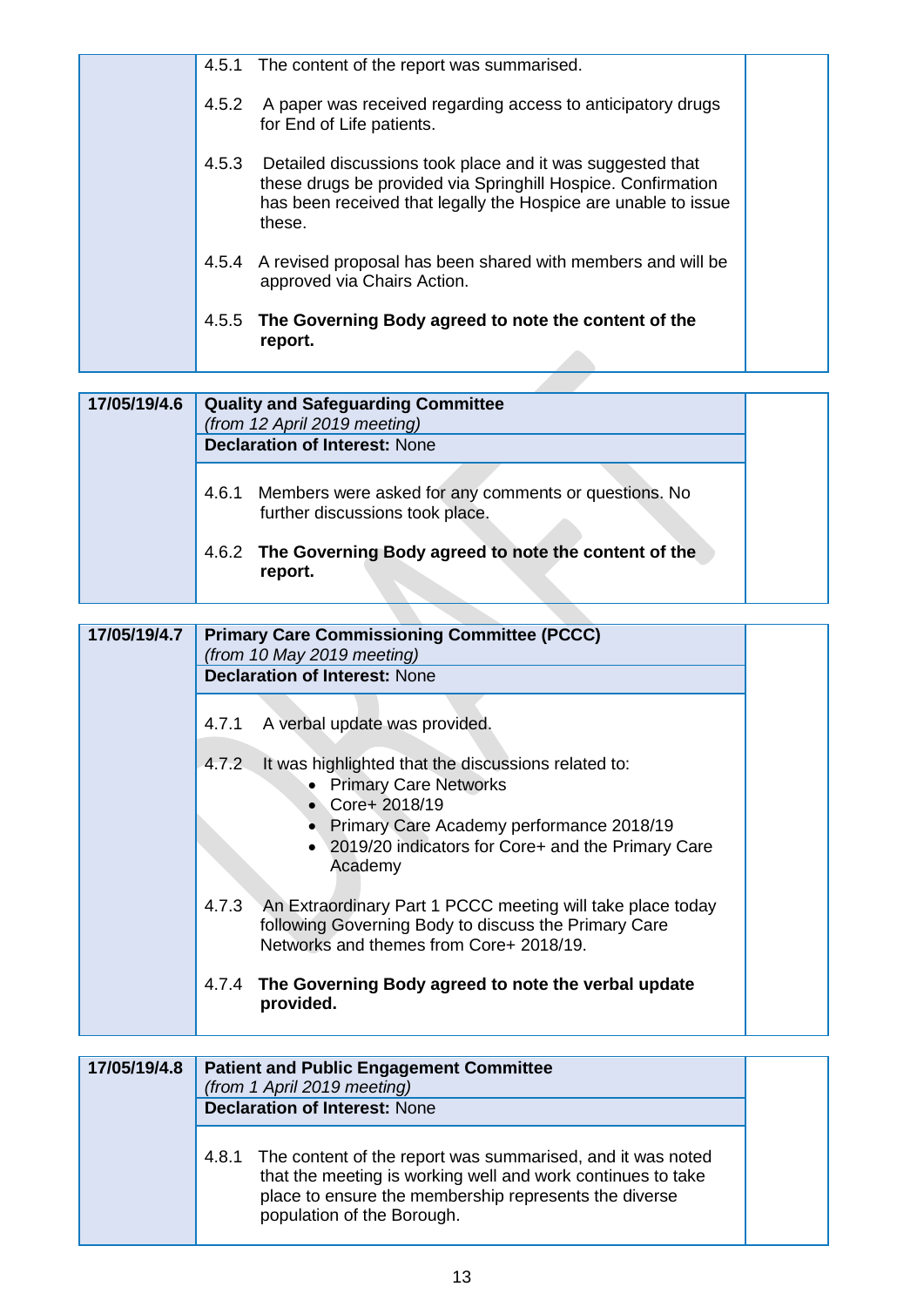| 4.5.1 | The content of the report was summarised.                                                                                                                                                                   |
|-------|-------------------------------------------------------------------------------------------------------------------------------------------------------------------------------------------------------------|
| 4.5.2 | A paper was received regarding access to anticipatory drugs<br>for End of Life patients.                                                                                                                    |
|       | 4.5.3 Detailed discussions took place and it was suggested that<br>these drugs be provided via Springhill Hospice. Confirmation<br>has been received that legally the Hospice are unable to issue<br>these. |
| 4.5.4 | A revised proposal has been shared with members and will be<br>approved via Chairs Action.                                                                                                                  |
| 4.5.5 | The Governing Body agreed to note the content of the<br>report.                                                                                                                                             |

| 17/05/19/4.6 | <b>Quality and Safeguarding Committee</b><br>(from 12 April 2019 meeting)<br><b>Declaration of Interest: None</b> |  |
|--------------|-------------------------------------------------------------------------------------------------------------------|--|
|              | Members were asked for any comments or questions. No<br>4.6.1<br>further discussions took place.                  |  |
|              | 4.6.2 The Governing Body agreed to note the content of the<br>report.                                             |  |

| 17/05/19/4.7 | <b>Primary Care Commissioning Committee (PCCC)</b><br>(from 10 May 2019 meeting)                                                                                       |
|--------------|------------------------------------------------------------------------------------------------------------------------------------------------------------------------|
|              | <b>Declaration of Interest: None</b>                                                                                                                                   |
|              | A verbal update was provided.<br>4.7.1                                                                                                                                 |
|              | 4.7.2<br>It was highlighted that the discussions related to:<br>• Primary Care Networks<br>• Core+ $2018/19$                                                           |
|              | Primary Care Academy performance 2018/19<br>• 2019/20 indicators for Core+ and the Primary Care<br>Academy                                                             |
|              | 4.7.3<br>An Extraordinary Part 1 PCCC meeting will take place today<br>following Governing Body to discuss the Primary Care<br>Networks and themes from Core+ 2018/19. |
|              | The Governing Body agreed to note the verbal update<br>4.7.4<br>provided.                                                                                              |
|              |                                                                                                                                                                        |
| 17/05/19/4.8 | <b>Patient and Public Engagement Committee</b><br>(from 1 April 2019 meeting)                                                                                          |
|              | <b>Declaration of Interest: None</b>                                                                                                                                   |
|              | The content of the report was summarised, and it was noted<br>4.8.1                                                                                                    |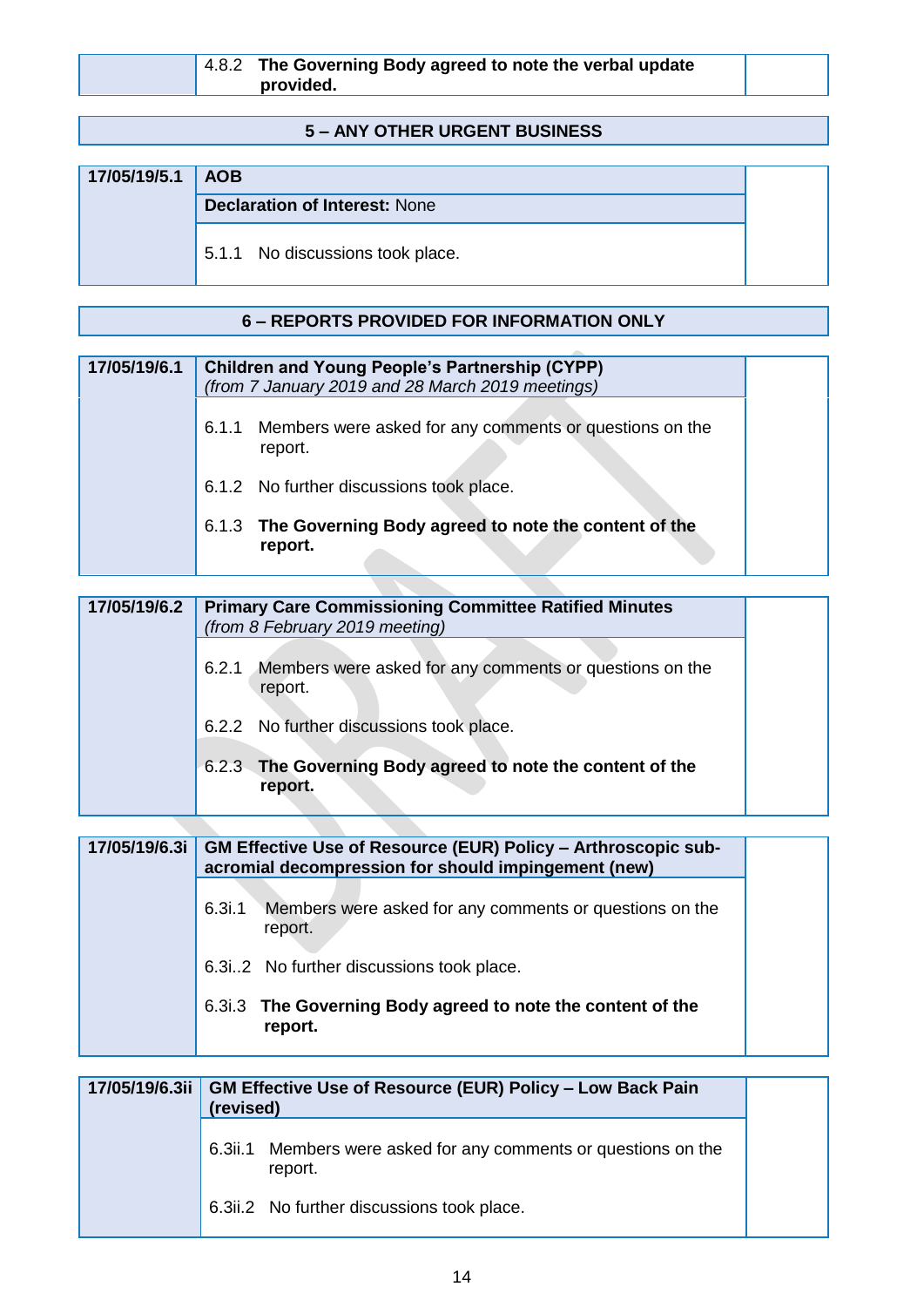|  | $4.8.2$ The Governing Body agreed to note the verbal update<br>provided. |  |
|--|--------------------------------------------------------------------------|--|
|  |                                                                          |  |

### **5 – ANY OTHER URGENT BUSINESS**

| 17/05/19/5.1 AOB |                                      |  |
|------------------|--------------------------------------|--|
|                  | <b>Declaration of Interest: None</b> |  |
|                  | 5.1.1 No discussions took place.     |  |

### **6** – REPORTS PROVIDED FOR INFORMATION ONLY

| 17/05/19/6.1 | <b>Children and Young People's Partnership (CYPP)</b><br>(from 7 January 2019 and 28 March 2019 meetings) |  |
|--------------|-----------------------------------------------------------------------------------------------------------|--|
|              | Members were asked for any comments or questions on the<br>6.1.1<br>report.                               |  |
|              | 6.1.2 No further discussions took place.                                                                  |  |
|              | 6.1.3 The Governing Body agreed to note the content of the<br>report.                                     |  |

| 17/05/19/6.2 | <b>Primary Care Commissioning Committee Ratified Minutes</b><br>(from 8 February 2019 meeting) |  |
|--------------|------------------------------------------------------------------------------------------------|--|
|              | Members were asked for any comments or questions on the<br>6.2.1<br>report.                    |  |
|              | 6.2.2 No further discussions took place.                                                       |  |
|              | 6.2.3 The Governing Body agreed to note the content of the<br>report.                          |  |

| 17/05/19/6.3i |        | <b>GM Effective Use of Resource (EUR) Policy – Arthroscopic sub-</b><br>acromial decompression for should impingement (new) |
|---------------|--------|-----------------------------------------------------------------------------------------------------------------------------|
|               | 6.3i.1 | Members were asked for any comments or questions on the<br>report.                                                          |
|               |        | 6.3i2 No further discussions took place.                                                                                    |
|               |        | 6.3.3 The Governing Body agreed to note the content of the<br>report.                                                       |

| (revised) | 17/05/19/6.3ii   GM Effective Use of Resource (EUR) Policy - Low Back Pain |
|-----------|----------------------------------------------------------------------------|
|           | 6.3ii.1 Members were asked for any comments or questions on the<br>report. |
|           | 6.3ii.2 No further discussions took place.                                 |